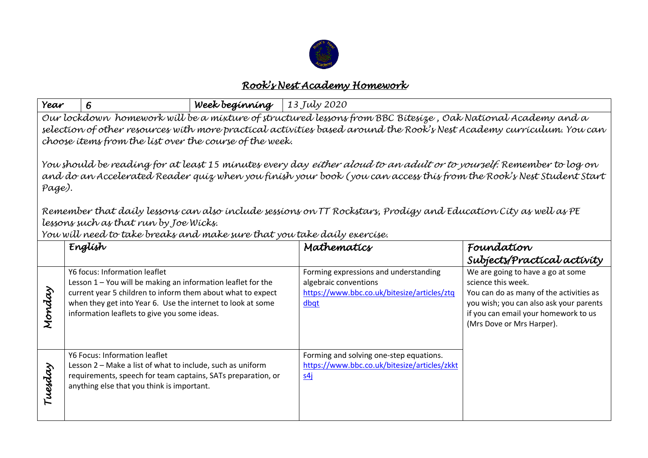

## *Rook's Nest Academy Homework*

| Year                                                                                                                                                                                                                                                                                                                                                                                                                                                                                                                                                                                                                                                                                                                                                                                                   | 6                                                                                                                                                                                                                                                                           | Week beginning | $\vert$ 13 July 2020                                                                                                  |                                                                                                                                                                                                                    |  |
|--------------------------------------------------------------------------------------------------------------------------------------------------------------------------------------------------------------------------------------------------------------------------------------------------------------------------------------------------------------------------------------------------------------------------------------------------------------------------------------------------------------------------------------------------------------------------------------------------------------------------------------------------------------------------------------------------------------------------------------------------------------------------------------------------------|-----------------------------------------------------------------------------------------------------------------------------------------------------------------------------------------------------------------------------------------------------------------------------|----------------|-----------------------------------------------------------------------------------------------------------------------|--------------------------------------------------------------------------------------------------------------------------------------------------------------------------------------------------------------------|--|
| Our lockdown homework will be a mixture of structured lessons from BBC Bitesize, Oak National Academy and a<br>selection of other resources with more practical activities based around the Rook's Nest Academy curriculum. You can<br>choose items from the list over the course of the week.<br>You should be reading for at least 15 minutes every day <i>either aloud to an adult or to yourself.</i> Remember to log on<br>and do an Accelerated Reader quiz when you finish your book (you can access this from the Rook's Nest Student Start<br>Page).<br>Remember that daily lessons can also include sessions on TT Rockstars, Prodigy and Education City as well as PE<br>lessons such as that run by Joe Wicks.<br>You will need to take breaks and make sure that you take daily exercise. |                                                                                                                                                                                                                                                                             |                |                                                                                                                       |                                                                                                                                                                                                                    |  |
|                                                                                                                                                                                                                                                                                                                                                                                                                                                                                                                                                                                                                                                                                                                                                                                                        | English                                                                                                                                                                                                                                                                     |                | Mathematics                                                                                                           | Foundation<br>Subjects/Practical activity                                                                                                                                                                          |  |
| Monday                                                                                                                                                                                                                                                                                                                                                                                                                                                                                                                                                                                                                                                                                                                                                                                                 | Y6 focus: Information leaflet<br>Lesson 1 - You will be making an information leaflet for the<br>current year 5 children to inform them about what to expect<br>when they get into Year 6. Use the internet to look at some<br>information leaflets to give you some ideas. |                | Forming expressions and understanding<br>algebraic conventions<br>https://www.bbc.co.uk/bitesize/articles/ztq<br>dbqt | We are going to have a go at some<br>science this week.<br>You can do as many of the activities as<br>you wish; you can also ask your parents<br>if you can email your homework to us<br>(Mrs Dove or Mrs Harper). |  |
| Tuesday                                                                                                                                                                                                                                                                                                                                                                                                                                                                                                                                                                                                                                                                                                                                                                                                | Y6 Focus: Information leaflet<br>Lesson 2 - Make a list of what to include, such as uniform<br>requirements, speech for team captains, SATs preparation, or<br>anything else that you think is important.                                                                   |                | Forming and solving one-step equations.<br>https://www.bbc.co.uk/bitesize/articles/zkkt<br>54i                        |                                                                                                                                                                                                                    |  |